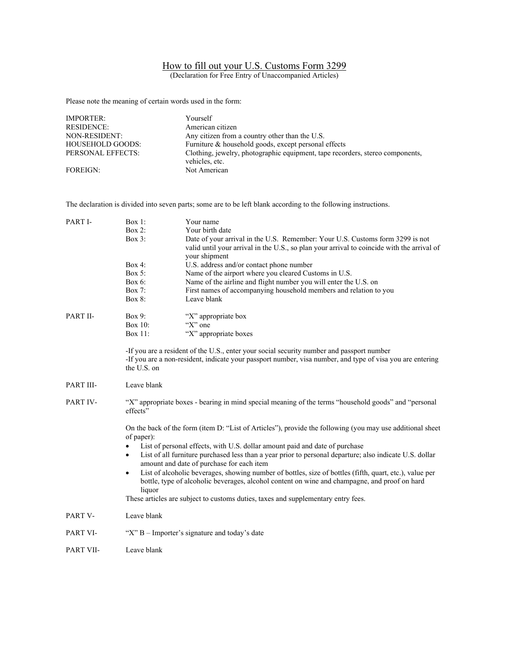## How to fill out your U.S. Customs Form 3299

(Declaration for Free Entry of Unaccompanied Articles)

Please note the meaning of certain words used in the form:

| <b>IMPORTER:</b><br><b>RESIDENCE:</b><br>NON-RESIDENT:<br><b>HOUSEHOLD GOODS:</b><br>PERSONAL EFFECTS: |                                                                                                                                                                                                                       | Yourself<br>American citizen<br>Any citizen from a country other than the U.S.<br>Furniture & household goods, except personal effects<br>Clothing, jewelry, photographic equipment, tape recorders, stereo components,<br>vehicles, etc. |
|--------------------------------------------------------------------------------------------------------|-----------------------------------------------------------------------------------------------------------------------------------------------------------------------------------------------------------------------|-------------------------------------------------------------------------------------------------------------------------------------------------------------------------------------------------------------------------------------------|
| <b>FOREIGN:</b>                                                                                        |                                                                                                                                                                                                                       | Not American                                                                                                                                                                                                                              |
|                                                                                                        |                                                                                                                                                                                                                       | The declaration is divided into seven parts; some are to be left blank according to the following instructions.                                                                                                                           |
| PART I-                                                                                                | $Box 1$ :                                                                                                                                                                                                             | Your name                                                                                                                                                                                                                                 |
|                                                                                                        | Box 2:                                                                                                                                                                                                                | Your birth date                                                                                                                                                                                                                           |
|                                                                                                        | Box $3$ :                                                                                                                                                                                                             | Date of your arrival in the U.S. Remember: Your U.S. Customs form 3299 is not<br>valid until your arrival in the U.S., so plan your arrival to coincide with the arrival of<br>your shipment                                              |
|                                                                                                        | Box 4:                                                                                                                                                                                                                | U.S. address and/or contact phone number                                                                                                                                                                                                  |
|                                                                                                        | Box $5$ :                                                                                                                                                                                                             | Name of the airport where you cleared Customs in U.S.                                                                                                                                                                                     |
|                                                                                                        | Box 6                                                                                                                                                                                                                 | Name of the airline and flight number you will enter the U.S. on                                                                                                                                                                          |
|                                                                                                        | Box $7$ :                                                                                                                                                                                                             | First names of accompanying household members and relation to you                                                                                                                                                                         |
|                                                                                                        | Box $8$ :                                                                                                                                                                                                             | Leave blank                                                                                                                                                                                                                               |
| PART II-                                                                                               | Box $9$ :                                                                                                                                                                                                             | "X" appropriate box                                                                                                                                                                                                                       |
|                                                                                                        | Box 10:                                                                                                                                                                                                               | "X" one                                                                                                                                                                                                                                   |
|                                                                                                        | Box 11:                                                                                                                                                                                                               | "X" appropriate boxes                                                                                                                                                                                                                     |
|                                                                                                        | -If you are a resident of the U.S., enter your social security number and passport number<br>-If you are a non-resident, indicate your passport number, visa number, and type of visa you are entering<br>the U.S. on |                                                                                                                                                                                                                                           |
| PART III-                                                                                              | Leave blank                                                                                                                                                                                                           |                                                                                                                                                                                                                                           |
| PART IV-                                                                                               | "X" appropriate boxes - bearing in mind special meaning of the terms "household goods" and "personal"<br>effects"                                                                                                     |                                                                                                                                                                                                                                           |

On the back of the form (item D: "List of Articles"), provide the following (you may use additional sheet of paper):

- List of personal effects, with U.S. dollar amount paid and date of purchase
- List of all furniture purchased less than a year prior to personal departure; also indicate U.S. dollar amount and date of purchase for each item
- List of alcoholic beverages, showing number of bottles, size of bottles (fifth, quart, etc.), value per bottle, type of alcoholic beverages, alcohol content on wine and champagne, and proof on hard liquor

These articles are subject to customs duties, taxes and supplementary entry fees.

- PART V-<br>Leave blank
- PART VI- "X" B Importer's signature and today's date
- PART VII-<br>Leave blank